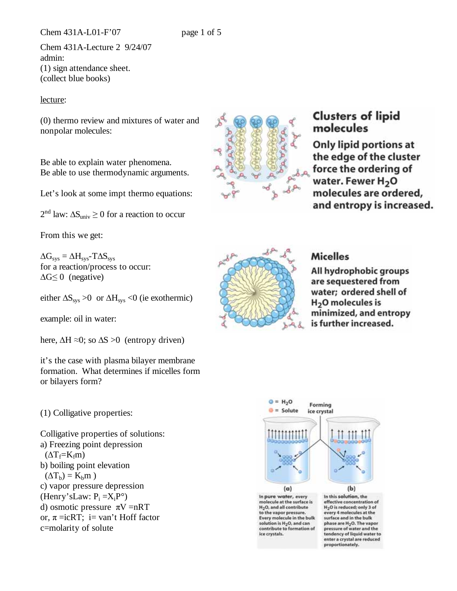Chem 431A-L01-F'07 page 1 of 5

Chem 431A-Lecture 2 9/24/07 admin: (1) sign attendance sheet. (collect blue books)

## lecture:

(0) thermo review and mixtures of water and nonpolar molecules:

Be able to explain water phenomena. Be able to use thermodynamic arguments.

Let's look at some impt thermo equations:

 $2<sup>nd</sup>$  law:  $\Delta S_{\text{univ}} \ge 0$  for a reaction to occur

From this we get:

 $\Delta G_{\rm sys} = \Delta H_{\rm sys}$ -T $\Delta S_{\rm sys}$ for a reaction/process to occur:  $\Delta G \leq 0$  (negative)

either  $\Delta S_{sys} > 0$  or  $\Delta H_{sys} < 0$  (ie exothermic)

example: oil in water:

here,  $\Delta H \approx 0$ ; so  $\Delta S > 0$  (entropy driven)

it's the case with plasma bilayer membrane formation. What determines if micelles form or bilayers form?

(1) Colligative properties:

Colligative properties of solutions: a) Freezing point depression  $(\Delta T_f=K_f m)$ b) boiling point elevation  $(\Delta T_b) = K_b m$ ) c) vapor pressure depression (Henry'sLaw:  $P_i = X_i P^{\circ}$ ) d) osmotic pressure  $\pi V = nRT$ or,  $\pi = i cRT$ ; i= van't Hoff factor c=molarity of solute



# **Clusters of lipid** molecules

**Only lipid portions at** the edge of the cluster force the ordering of water. Fewer H<sub>2</sub>O molecules are ordered, and entropy is increased.



## **Micelles**

All hydrophobic groups are sequestered from water; ordered shell of  $H<sub>2</sub>O$  molecules is minimized, and entropy is further increased.



contribute to formation of

ice crystals.

phase are H<sub>2</sub>O. The vapo pressure of water and the tendency of liquid water to enter a crystal are reduced proportionately.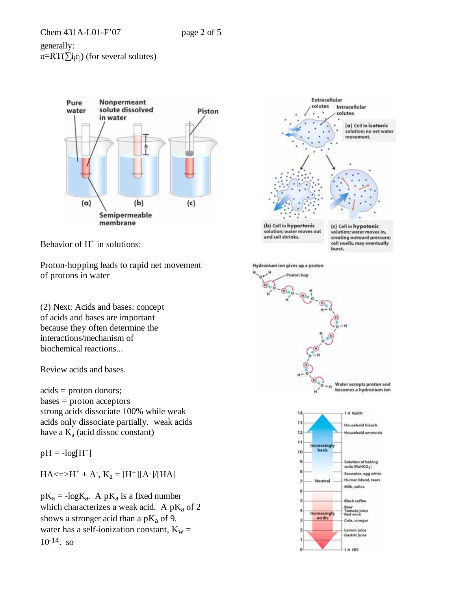generally:  $\pi = RT(\sum i_j c_j)$  (for several solutes)



Behavior of  $H^+$  in solutions:

Proton-hopping leads to rapid net movement of protons in water

(2) Next: Acids and bases: concept of acids and bases are important because they often determine the interactions/mechanism of biochemical reactions...

Review acids and bases.

acids = proton donors; bases = proton acceptors strong acids dissociate 100% while weak acids only dissociate partially. weak acids have a  $K_a$  (acid dissoc constant)

 $pH = -log[H^+]$ 

 $HA \leq H^+ + A$ ,  $K_a = [H^+][A^-]/[HA]$ 

 $pK_a = -\log K_a$ . A  $pK_a$  is a fixed number which characterizes a weak acid. A  $pK_a$  of 2 shows a stronger acid than a  $pK_a$  of 9. water has a self-ionization constant,  $K_w =$  $10^{-14}$ . so

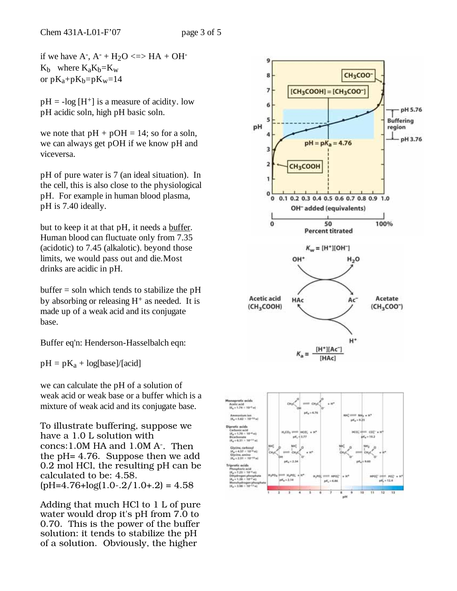if we have  $A^-$ ,  $A^-$  +  $H_2O \leq > H A + OH^ K_b$  where  $K_aK_b=K_w$ or  $pK_a+pK_b=pK_w=14$ 

 $pH = -\log[H^+]$  is a measure of acidity. low pH acidic soln, high pH basic soln.

we note that  $pH + pOH = 14$ ; so for a soln, we can always get pOH if we know pH and viceversa.

pH of pure water is 7 (an ideal situation). In the cell, this is also close to the physiological pH. For example in human blood plasma, pH is 7.40 ideally.

but to keep it at that pH, it needs a <u>buffer</u>. Human blood can fluctuate only from 7.35 (acidotic) to 7.45 (alkalotic). beyond those limits, we would pass out and die.Most drinks are acidic in pH.

 $buffer = soln$  which tends to stabilize the pH by absorbing or releasing  $H^+$  as needed. It is made up of a weak acid and its conjugate base.

Buffer eq'n: Henderson-Hasselbalch eqn:

 $pH = pK_a + log[base]/[acid]$ 

we can calculate the pH of a solution of weak acid or weak base or a buffer which is a mixture of weak acid and its conjugate base.

To illustrate buffering, suppose we have a 1.0 L solution with concs:1.0M HA and 1.0M A-. Then the pH= 4.76. Suppose then we add 0.2 mol HCl, the resulting pH can be calculated to be: 4.58.  $(pH=4.76+log(1.0-.2/1.0+.2) = 4.58$ 

Adding that much HCl to 1 L of pure water would drop it's pH from 7.0 to 0.70. This is the power of the buffer solution: it tends to stabilize the pH of a solution. Obviously, the higher

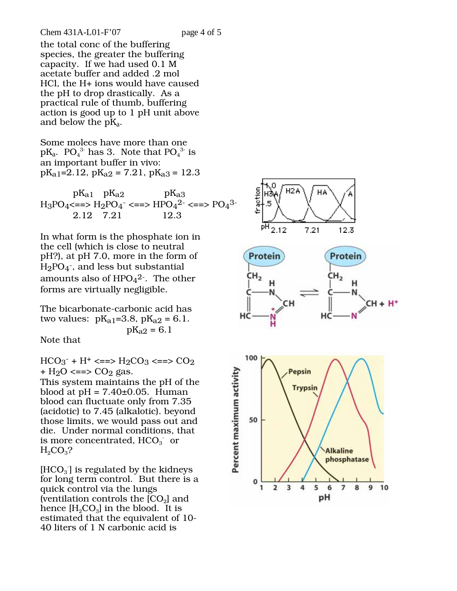### Chem 431A-L01-F'07 page 4 of 5

the total conc of the buffering species, the greater the buffering capacity. If we had used 0.1 M acetate buffer and added .2 mol HCl, the H+ ions would have caused the pH to drop drastically. As a practical rule of thumb, buffering action is good up to 1 pH unit above and below the  $pK_a$ .

Some molecs have more than one  $pK_a$ .  $pO_4^3$  has 3. Note that  $pO_4^3$  is an important buffer in vivo:  $pK_{a1}=2.12$ ,  $pK_{a2}=7.21$ ,  $pK_{a3}=12.3$ 

 $pK_{a1}$   $pK_{a2}$   $pK_{a3}$  $H_3PO_4 \leq n \leq H_2PO_4 \leq n \leq HPO_4^{2-} \leq n \leq PO_4^{3-}$ 2.12 7.21 12.3

In what form is the phosphate ion in the cell (which is close to neutral pH?), at pH 7.0, more in the form of  $H_2PO_4^-$ , and less but substantial amounts also of  $HPO<sub>4</sub><sup>2</sup>$ . The other forms are virtually negligible.

The bicarbonate-carbonic acid has two values:  $pK_{a1}=3.8$ ,  $pK_{a2}=6.1$ .  $pK_{a2} = 6.1$ 

Note that

 $HCO<sub>3</sub><sup>-</sup> + H<sup>+</sup> \leq = > H<sub>2</sub>CO<sub>3</sub> \leq = > CO<sub>2</sub>$ +  $H_2O \leq z \leq O_2$  gas.

This system maintains the pH of the blood at  $pH = 7.40\pm0.05$ . Human blood can fluctuate only from 7.35 (acidotic) to 7.45 (alkalotic). beyond those limits, we would pass out and die. Under normal conditions, that is more concentrated,  $HCO<sub>3</sub>$  or  $H_2CO_3$ ?

 $[\mathrm{HCO}_3^-]$  is regulated by the kidneys for long term control. But there is a quick control via the lungs (ventilation controls the  $[CO<sub>2</sub>]$  and hence  $[H_2CO_3]$  in the blood. It is estimated that the equivalent of 10- 40 liters of 1 N carbonic acid is